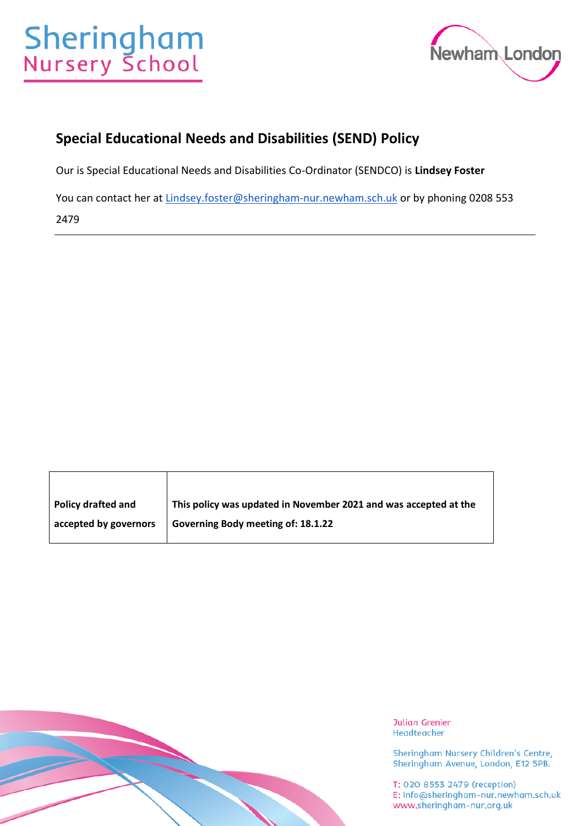# **Sheringham**<br>Nursery School



# **Special Educational Needs and Disabilities (SEND) Policy**

Our is Special Educational Needs and Disabilities Co-Ordinator (SENDCO) is **Lindsey Foster**

You can contact her at [Lindsey.foster@sheringham-nur.newham.sch.uk](mailto:Lindsey.foster@sheringham-nur.newham.sch.uk) or by phoning 0208 553

2479

| <b>Policy drafted and</b> | This policy was updated in November 2021 and was accepted at the |
|---------------------------|------------------------------------------------------------------|
| accepted by governors     | Governing Body meeting of: 18.1.22                               |



**Julian Grenier** Headteacher

Sheringham Nursery Children's Centre, Sheringham Avenue, London, E12 5PB.

T: 020 8553 2479 (reception)<br>E: info@sheringham-nur.newham.sch.uk www.sheringham-nur.org.uk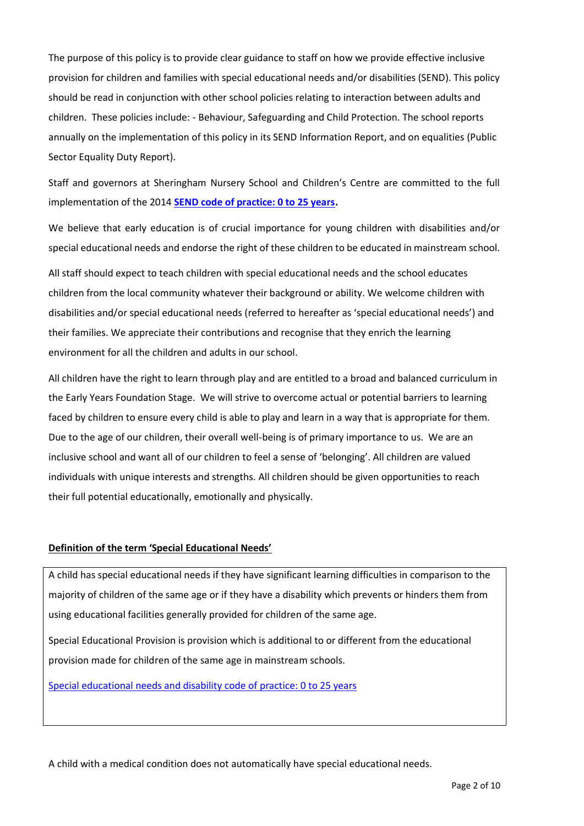The purpose of this policy is to provide clear guidance to staff on how we provide effective inclusive provision for children and families with special educational needs and/or disabilities (SEND). This policy should be read in conjunction with other school policies relating to interaction between adults and children. These policies include: - Behaviour, Safeguarding and Child Protection. The school reports annually on the implementation of this policy in its SEND Information Report, and on equalities (Public Sector Equality Duty Report).

Staff and governors at Sheringham Nursery School and Children's Centre are committed to the full implementation of the 2014 **[SEND code of practice: 0 to 25 years.](https://www.gov.uk/government/publications/send-code-of-practice-0-to-25)**

We believe that early education is of crucial importance for young children with disabilities and/or special educational needs and endorse the right of these children to be educated in mainstream school.

All staff should expect to teach children with special educational needs and the school educates children from the local community whatever their background or ability. We welcome children with disabilities and/or special educational needs (referred to hereafter as 'special educational needs') and their families. We appreciate their contributions and recognise that they enrich the learning environment for all the children and adults in our school.

All children have the right to learn through play and are entitled to a broad and balanced curriculum in the Early Years Foundation Stage. We will strive to overcome actual or potential barriers to learning faced by children to ensure every child is able to play and learn in a way that is appropriate for them. Due to the age of our children, their overall well-being is of primary importance to us. We are an inclusive school and want all of our children to feel a sense of 'belonging'. All children are valued individuals with unique interests and strengths. All children should be given opportunities to reach their full potential educationally, emotionally and physically.

# **Definition of the term 'Special Educational Needs'**

A child has special educational needs if they have significant learning difficulties in comparison to the majority of children of the same age or if they have a disability which prevents or hinders them from using educational facilities generally provided for children of the same age.

Special Educational Provision is provision which is additional to or different from the educational provision made for children of the same age in mainstream schools.

[Special educational needs and disability code of practice: 0 to 25 years](https://www.gov.uk/government/uploads/system/uploads/attachment_data/file/398815/SEND_Code_of_Practice_January_2015.pdf) 

A child with a medical condition does not automatically have special educational needs.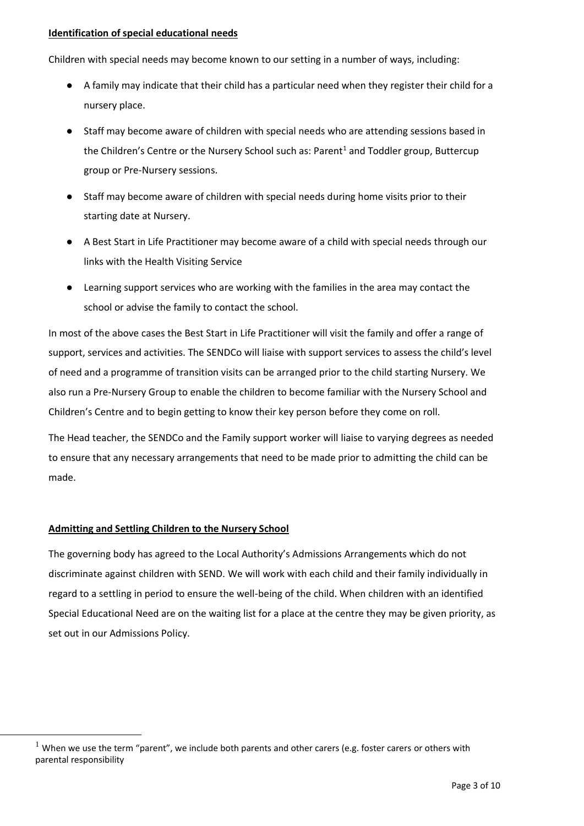#### **Identification of special educational needs**

Children with special needs may become known to our setting in a number of ways, including:

- A family may indicate that their child has a particular need when they register their child for a nursery place.
- Staff may become aware of children with special needs who are attending sessions based in the Children's Centre or the Nursery School such as: Parent<sup>1</sup> and Toddler group, Buttercup group or Pre-Nursery sessions.
- Staff may become aware of children with special needs during home visits prior to their starting date at Nursery.
- A Best Start in Life Practitioner may become aware of a child with special needs through our links with the Health Visiting Service
- Learning support services who are working with the families in the area may contact the school or advise the family to contact the school.

In most of the above cases the Best Start in Life Practitioner will visit the family and offer a range of support, services and activities. The SENDCo will liaise with support services to assess the child's level of need and a programme of transition visits can be arranged prior to the child starting Nursery. We also run a Pre-Nursery Group to enable the children to become familiar with the Nursery School and Children's Centre and to begin getting to know their key person before they come on roll.

The Head teacher, the SENDCo and the Family support worker will liaise to varying degrees as needed to ensure that any necessary arrangements that need to be made prior to admitting the child can be made.

# **Admitting and Settling Children to the Nursery School**

The governing body has agreed to the Local Authority's Admissions Arrangements which do not discriminate against children with SEND. We will work with each child and their family individually in regard to a settling in period to ensure the well-being of the child. When children with an identified Special Educational Need are on the waiting list for a place at the centre they may be given priority, as set out in our Admissions Policy.

<sup>&</sup>lt;sup>1</sup> When we use the term "parent", we include both parents and other carers (e.g. foster carers or others with parental responsibility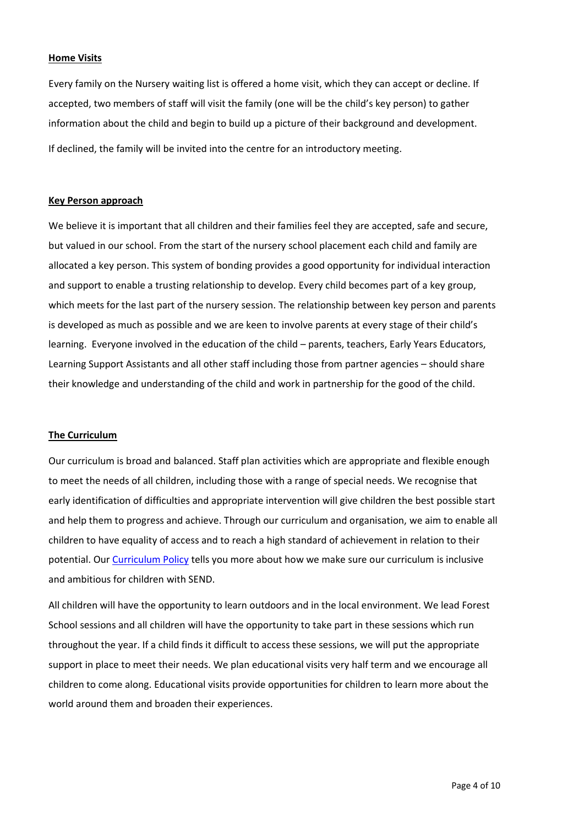#### **Home Visits**

Every family on the Nursery waiting list is offered a home visit, which they can accept or decline. If accepted, two members of staff will visit the family (one will be the child's key person) to gather information about the child and begin to build up a picture of their background and development. If declined, the family will be invited into the centre for an introductory meeting.

#### **Key Person approach**

We believe it is important that all children and their families feel they are accepted, safe and secure, but valued in our school. From the start of the nursery school placement each child and family are allocated a key person. This system of bonding provides a good opportunity for individual interaction and support to enable a trusting relationship to develop. Every child becomes part of a key group, which meets for the last part of the nursery session. The relationship between key person and parents is developed as much as possible and we are keen to involve parents at every stage of their child's learning. Everyone involved in the education of the child – parents, teachers, Early Years Educators, Learning Support Assistants and all other staff including those from partner agencies – should share their knowledge and understanding of the child and work in partnership for the good of the child.

#### **The Curriculum**

Our curriculum is broad and balanced. Staff plan activities which are appropriate and flexible enough to meet the needs of all children, including those with a range of special needs. We recognise that early identification of difficulties and appropriate intervention will give children the best possible start and help them to progress and achieve. Through our curriculum and organisation, we aim to enable all children to have equality of access and to reach a high standard of achievement in relation to their potential. Ou[r Curriculum Policy](https://www.sheringham-nur.org.uk/wp-content/uploads/simple-file-list/Education/SNSCC-Curriculum-Overview-and-Curricular-Goals-Sep-21-update.pdf) tells you more about how we make sure our curriculum is inclusive and ambitious for children with SEND.

All children will have the opportunity to learn outdoors and in the local environment. We lead Forest School sessions and all children will have the opportunity to take part in these sessions which run throughout the year. If a child finds it difficult to access these sessions, we will put the appropriate support in place to meet their needs. We plan educational visits very half term and we encourage all children to come along. Educational visits provide opportunities for children to learn more about the world around them and broaden their experiences.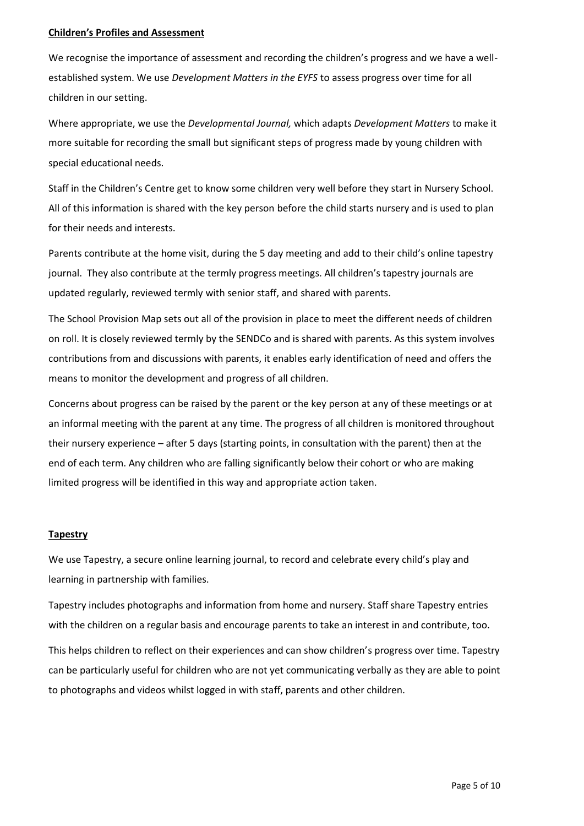#### **Children's Profiles and Assessment**

We recognise the importance of assessment and recording the children's progress and we have a wellestablished system. We use *Development Matters in the EYFS* to assess progress over time for all children in our setting.

Where appropriate, we use the *Developmental Journal,* which adapts *Development Matters* to make it more suitable for recording the small but significant steps of progress made by young children with special educational needs.

Staff in the Children's Centre get to know some children very well before they start in Nursery School. All of this information is shared with the key person before the child starts nursery and is used to plan for their needs and interests.

Parents contribute at the home visit, during the 5 day meeting and add to their child's online tapestry journal. They also contribute at the termly progress meetings. All children's tapestry journals are updated regularly, reviewed termly with senior staff, and shared with parents.

The School Provision Map sets out all of the provision in place to meet the different needs of children on roll. It is closely reviewed termly by the SENDCo and is shared with parents. As this system involves contributions from and discussions with parents, it enables early identification of need and offers the means to monitor the development and progress of all children.

Concerns about progress can be raised by the parent or the key person at any of these meetings or at an informal meeting with the parent at any time. The progress of all children is monitored throughout their nursery experience – after 5 days (starting points, in consultation with the parent) then at the end of each term. Any children who are falling significantly below their cohort or who are making limited progress will be identified in this way and appropriate action taken.

# **Tapestry**

We use Tapestry, a secure online learning journal, to record and celebrate every child's play and learning in partnership with families.

Tapestry includes photographs and information from home and nursery. Staff share Tapestry entries with the children on a regular basis and encourage parents to take an interest in and contribute, too.

This helps children to reflect on their experiences and can show children's progress over time. Tapestry can be particularly useful for children who are not yet communicating verbally as they are able to point to photographs and videos whilst logged in with staff, parents and other children.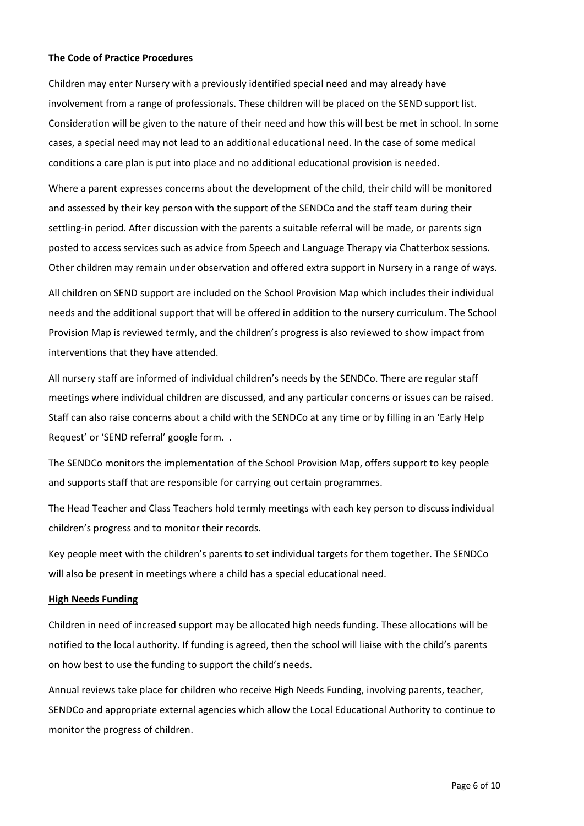#### **The Code of Practice Procedures**

Children may enter Nursery with a previously identified special need and may already have involvement from a range of professionals. These children will be placed on the SEND support list. Consideration will be given to the nature of their need and how this will best be met in school. In some cases, a special need may not lead to an additional educational need. In the case of some medical conditions a care plan is put into place and no additional educational provision is needed.

Where a parent expresses concerns about the development of the child, their child will be monitored and assessed by their key person with the support of the SENDCo and the staff team during their settling-in period. After discussion with the parents a suitable referral will be made, or parents sign posted to access services such as advice from Speech and Language Therapy via Chatterbox sessions. Other children may remain under observation and offered extra support in Nursery in a range of ways.

All children on SEND support are included on the School Provision Map which includes their individual needs and the additional support that will be offered in addition to the nursery curriculum. The School Provision Map is reviewed termly, and the children's progress is also reviewed to show impact from interventions that they have attended.

All nursery staff are informed of individual children's needs by the SENDCo. There are regular staff meetings where individual children are discussed, and any particular concerns or issues can be raised. Staff can also raise concerns about a child with the SENDCo at any time or by filling in an 'Early Help Request' or 'SEND referral' google form. .

The SENDCo monitors the implementation of the School Provision Map, offers support to key people and supports staff that are responsible for carrying out certain programmes.

The Head Teacher and Class Teachers hold termly meetings with each key person to discuss individual children's progress and to monitor their records.

Key people meet with the children's parents to set individual targets for them together. The SENDCo will also be present in meetings where a child has a special educational need.

#### **High Needs Funding**

Children in need of increased support may be allocated high needs funding. These allocations will be notified to the local authority. If funding is agreed, then the school will liaise with the child's parents on how best to use the funding to support the child's needs.

Annual reviews take place for children who receive High Needs Funding, involving parents, teacher, SENDCo and appropriate external agencies which allow the Local Educational Authority to continue to monitor the progress of children.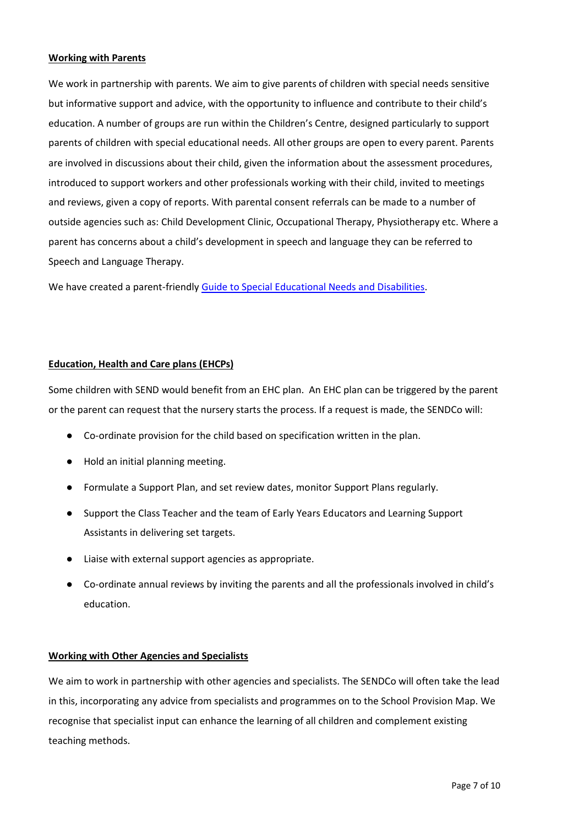#### **Working with Parents**

We work in partnership with parents. We aim to give parents of children with special needs sensitive but informative support and advice, with the opportunity to influence and contribute to their child's education. A number of groups are run within the Children's Centre, designed particularly to support parents of children with special educational needs. All other groups are open to every parent. Parents are involved in discussions about their child, given the information about the assessment procedures, introduced to support workers and other professionals working with their child, invited to meetings and reviews, given a copy of reports. With parental consent referrals can be made to a number of outside agencies such as: Child Development Clinic, Occupational Therapy, Physiotherapy etc. Where a parent has concerns about a child's development in speech and language they can be referred to Speech and Language Therapy.

We have created a parent-friendl[y Guide to Special Educational Needs and Disabilities.](https://www.sheringham-nur.org.uk/wp-content/uploads/simple-file-list/SEND-and-Equalities/SNCC-Parents-Guide-to-SEND.pdf)

# **Education, Health and Care plans (EHCPs)**

Some children with SEND would benefit from an EHC plan. An EHC plan can be triggered by the parent or the parent can request that the nursery starts the process. If a request is made, the SENDCo will:

- Co-ordinate provision for the child based on specification written in the plan.
- Hold an initial planning meeting.
- Formulate a Support Plan, and set review dates, monitor Support Plans regularly.
- Support the Class Teacher and the team of Early Years Educators and Learning Support Assistants in delivering set targets.
- Liaise with external support agencies as appropriate.
- Co-ordinate annual reviews by inviting the parents and all the professionals involved in child's education.

# **Working with Other Agencies and Specialists**

We aim to work in partnership with other agencies and specialists. The SENDCo will often take the lead in this, incorporating any advice from specialists and programmes on to the School Provision Map. We recognise that specialist input can enhance the learning of all children and complement existing teaching methods.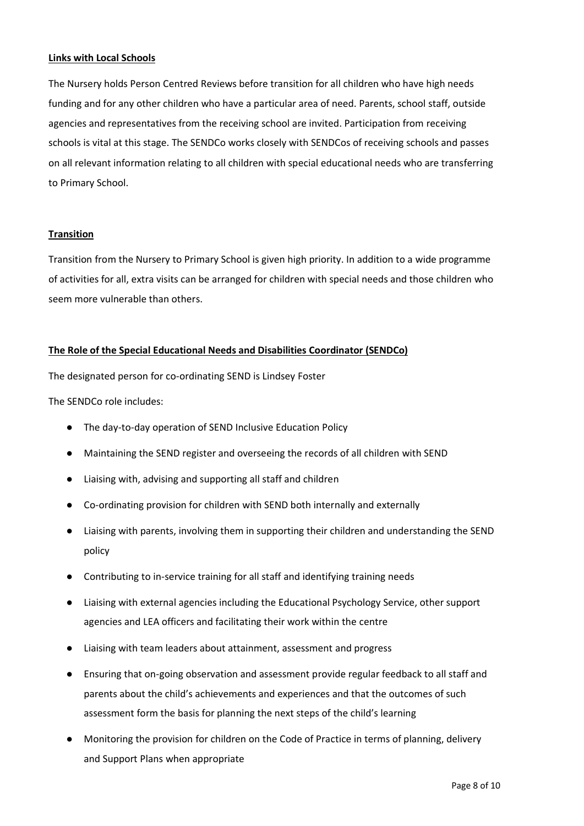# **Links with Local Schools**

The Nursery holds Person Centred Reviews before transition for all children who have high needs funding and for any other children who have a particular area of need. Parents, school staff, outside agencies and representatives from the receiving school are invited. Participation from receiving schools is vital at this stage. The SENDCo works closely with SENDCos of receiving schools and passes on all relevant information relating to all children with special educational needs who are transferring to Primary School.

#### **Transition**

Transition from the Nursery to Primary School is given high priority. In addition to a wide programme of activities for all, extra visits can be arranged for children with special needs and those children who seem more vulnerable than others.

#### **The Role of the Special Educational Needs and Disabilities Coordinator (SENDCo)**

The designated person for co-ordinating SEND is Lindsey Foster

The SENDCo role includes:

- The day-to-day operation of SEND Inclusive Education Policy
- Maintaining the SEND register and overseeing the records of all children with SEND
- Liaising with, advising and supporting all staff and children
- Co-ordinating provision for children with SEND both internally and externally
- Liaising with parents, involving them in supporting their children and understanding the SEND policy
- Contributing to in-service training for all staff and identifying training needs
- Liaising with external agencies including the Educational Psychology Service, other support agencies and LEA officers and facilitating their work within the centre
- Liaising with team leaders about attainment, assessment and progress
- Ensuring that on-going observation and assessment provide regular feedback to all staff and parents about the child's achievements and experiences and that the outcomes of such assessment form the basis for planning the next steps of the child's learning
- Monitoring the provision for children on the Code of Practice in terms of planning, delivery and Support Plans when appropriate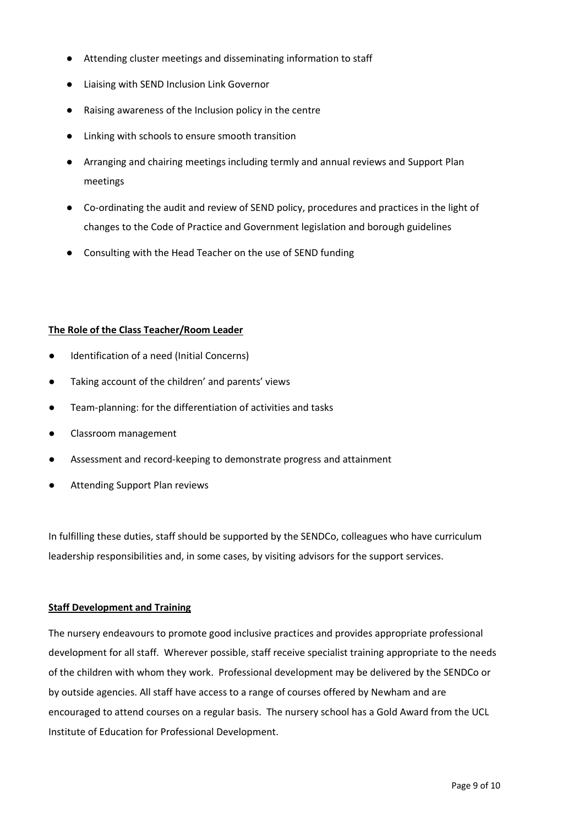- Attending cluster meetings and disseminating information to staff
- Liaising with SEND Inclusion Link Governor
- Raising awareness of the Inclusion policy in the centre
- Linking with schools to ensure smooth transition
- Arranging and chairing meetings including termly and annual reviews and Support Plan meetings
- Co-ordinating the audit and review of SEND policy, procedures and practices in the light of changes to the Code of Practice and Government legislation and borough guidelines
- Consulting with the Head Teacher on the use of SEND funding

# **The Role of the Class Teacher/Room Leader**

- Identification of a need (Initial Concerns)
- Taking account of the children' and parents' views
- Team-planning: for the differentiation of activities and tasks
- Classroom management
- Assessment and record-keeping to demonstrate progress and attainment
- **Attending Support Plan reviews**

In fulfilling these duties, staff should be supported by the SENDCo, colleagues who have curriculum leadership responsibilities and, in some cases, by visiting advisors for the support services.

# **Staff Development and Training**

The nursery endeavours to promote good inclusive practices and provides appropriate professional development for all staff. Wherever possible, staff receive specialist training appropriate to the needs of the children with whom they work. Professional development may be delivered by the SENDCo or by outside agencies. All staff have access to a range of courses offered by Newham and are encouraged to attend courses on a regular basis. The nursery school has a Gold Award from the UCL Institute of Education for Professional Development.